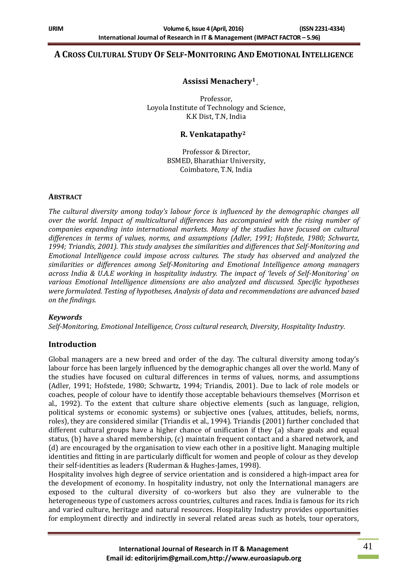## **A CROSS CULTURAL STUDY OF SELF-MONITORING AND EMOTIONAL INTELLIGENCE**

## **Assissi Menachery<sup>1</sup> ,**

Professor, Loyola Institute of Technology and Science, K.K Dist, T.N, India

## **R. Venkatapathy<sup>2</sup>**

Professor & Director, BSMED, Bharathiar University, Coimbatore, T.N, India

#### **ABSTRACT**

*The cultural diversity among today's labour force is influenced by the demographic changes all over the world. Impact of multicultural differences has accompanied with the rising number of companies expanding into international markets. Many of the studies have focused on cultural differences in terms of values, norms, and assumptions (Adler, 1991; Hofstede, 1980; Schwartz, 1994; Triandis, 2001). This study analyses the similarities and differences that Self-Monitoring and Emotional Intelligence could impose across cultures. The study has observed and analyzed the similarities or differences among Self-Monitoring and Emotional Intelligence among managers across India & U.A.E working in hospitality industry. The impact of 'levels of Self-Monitoring' on various Emotional Intelligence dimensions are also analyzed and discussed. Specific hypotheses were formulated. Testing of hypotheses, Analysis of data and recommendations are advanced based on the findings.* 

#### *Keywords*

*Self-Monitoring, Emotional Intelligence, Cross cultural research, Diversity, Hospitality Industry.*

#### **Introduction**

Global managers are a new breed and order of the day. The cultural diversity among today's labour force has been largely influenced by the demographic changes all over the world. Many of the studies have focused on cultural differences in terms of values, norms, and assumptions (Adler, 1991; Hofstede, 1980; Schwartz, 1994; Triandis, 2001). Due to lack of role models or coaches, people of colour have to identify those acceptable behaviours themselves (Morrison et al., 1992). To the extent that culture share objective elements (such as language, religion, political systems or economic systems) or subjective ones (values, attitudes, beliefs, norms, roles), they are considered similar (Triandis et al., 1994). Triandis (2001) further concluded that different cultural groups have a higher chance of unification if they (a) share goals and equal status, (b) have a shared membership, (c) maintain frequent contact and a shared network, and (d) are encouraged by the organisation to view each other in a positive light. Managing multiple identities and fitting in are particularly difficult for women and people of colour as they develop their self-identities as leaders (Ruderman & Hughes-James, 1998).

Hospitality involves high degree of service orientation and is considered a high-impact area for the development of economy. In hospitality industry, not only the International managers are exposed to the cultural diversity of co-workers but also they are vulnerable to the heterogeneous type of customers across countries, cultures and races. India is famous for its rich and varied culture, heritage and natural resources. Hospitality Industry provides opportunities for employment directly and indirectly in several related areas such as hotels, tour operators,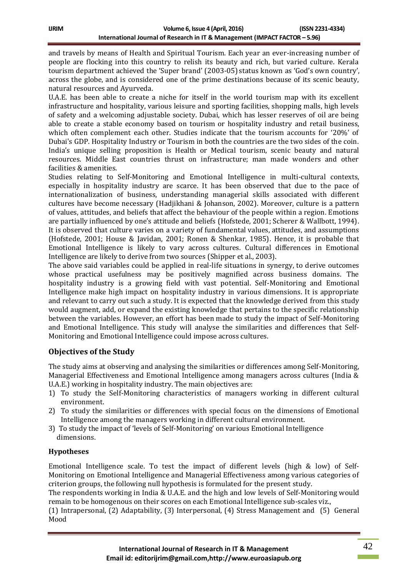and travels by means of Health and Spiritual Tourism. Each year an ever-increasing number of people are flocking into this country to relish its beauty and rich, but varied culture. Kerala tourism department achieved the 'Super brand' (2003-05) status known as 'God's own country', across the globe, and is considered one of the prime destinations because of its scenic beauty, natural resources and Ayurveda.

U.A.E. has been able to create a niche for itself in the world tourism map with its excellent infrastructure and hospitality, various leisure and sporting facilities, shopping malls, high levels of safety and a welcoming adjustable society. Dubai, which has lesser reserves of oil are being able to create a stable economy based on tourism or hospitality industry and retail business, which often complement each other. Studies indicate that the tourism accounts for '20%' of Dubai's GDP. Hospitality Industry or Tourism in both the countries are the two sides of the coin. India's unique selling proposition is Health or Medical tourism, scenic beauty and natural resources. Middle East countries thrust on infrastructure; man made wonders and other facilities & amenities.

Studies relating to Self-Monitoring and Emotional Intelligence in multi-cultural contexts, especially in hospitality industry are scarce. It has been observed that due to the pace of internationalization of business, understanding managerial skills associated with different cultures have become necessary (Hadjikhani & Johanson, 2002). Moreover, culture is a pattern of values, attitudes, and beliefs that affect the behaviour of the people within a region. Emotions are partially influenced by one's attitude and beliefs (Hofstede, 2001; Scherer & Wallbott, 1994). It is observed that culture varies on a variety of fundamental values, attitudes, and assumptions (Hofstede, 2001; House & Javidan, 2001; Ronen & Shenkar, 1985). Hence, it is probable that Emotional Intelligence is likely to vary across cultures. Cultural differences in Emotional Intelligence are likely to derive from two sources (Shipper et al., 2003).

The above said variables could be applied in real-life situations in synergy, to derive outcomes whose practical usefulness may be positively magnified across business domains. The hospitality industry is a growing field with vast potential. Self-Monitoring and Emotional Intelligence make high impact on hospitality industry in various dimensions. It is appropriate and relevant to carry out such a study. It is expected that the knowledge derived from this study would augment, add, or expand the existing knowledge that pertains to the specific relationship between the variables. However, an effort has been made to study the impact of Self-Monitoring and Emotional Intelligence. This study will analyse the similarities and differences that Self-Monitoring and Emotional Intelligence could impose across cultures.

# **Objectives of the Study**

The study aims at observing and analysing the similarities or differences among Self-Monitoring, Managerial Effectiveness and Emotional Intelligence among managers across cultures (India & U.A.E.) working in hospitality industry. The main objectives are:

- 1) To study the Self-Monitoring characteristics of managers working in different cultural environment.
- 2) To study the similarities or differences with special focus on the dimensions of Emotional Intelligence among the managers working in different cultural environment.
- 3) To study the impact of 'levels of Self-Monitoring' on various Emotional Intelligence dimensions.

## **Hypotheses**

Emotional Intelligence scale. To test the impact of different levels (high & low) of Self-Monitoring on Emotional Intelligence and Managerial Effectiveness among various categories of criterion groups, the following null hypothesis is formulated for the present study.

The respondents working in India & U.A.E. and the high and low levels of Self-Monitoring would remain to be homogenous on their scores on each Emotional Intelligence sub-scales viz.,

(1) Intrapersonal, (2) Adaptability, (3) Interpersonal, (4) Stress Management and (5) General Mood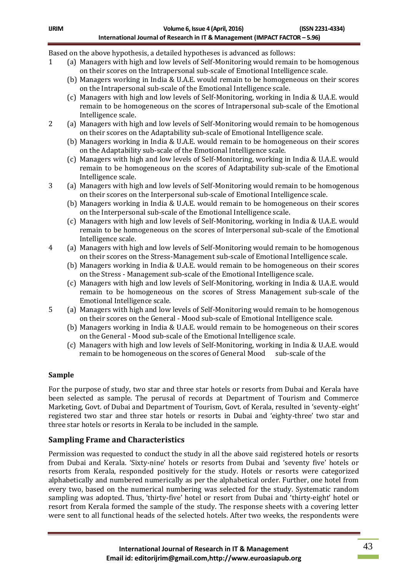Based on the above hypothesis, a detailed hypotheses is advanced as follows:

- 1 (a) Managers with high and low levels of Self-Monitoring would remain to be homogenous on their scores on the Intrapersonal sub-scale of Emotional Intelligence scale.
	- (b) Managers working in India & U.A.E. would remain to be homogeneous on their scores on the Intrapersonal sub-scale of the Emotional Intelligence scale.
	- (c) Managers with high and low levels of Self-Monitoring, working in India & U.A.E. would remain to be homogeneous on the scores of Intrapersonal sub-scale of the Emotional Intelligence scale.
- 2 (a) Managers with high and low levels of Self-Monitoring would remain to be homogenous on their scores on the Adaptability sub-scale of Emotional Intelligence scale.
	- (b) Managers working in India & U.A.E. would remain to be homogeneous on their scores on the Adaptability sub-scale of the Emotional Intelligence scale.
	- (c) Managers with high and low levels of Self-Monitoring, working in India & U.A.E. would remain to be homogeneous on the scores of Adaptability sub-scale of the Emotional Intelligence scale.
- 3 (a) Managers with high and low levels of Self-Monitoring would remain to be homogenous on their scores on the Interpersonal sub-scale of Emotional Intelligence scale.
	- (b) Managers working in India & U.A.E. would remain to be homogeneous on their scores on the Interpersonal sub-scale of the Emotional Intelligence scale.
	- (c) Managers with high and low levels of Self-Monitoring, working in India & U.A.E. would remain to be homogeneous on the scores of Interpersonal sub-scale of the Emotional Intelligence scale.
- 4 (a) Managers with high and low levels of Self-Monitoring would remain to be homogenous on their scores on the Stress-Management sub-scale of Emotional Intelligence scale.
	- (b) Managers working in India & U.A.E. would remain to be homogeneous on their scores on the Stress - Management sub-scale of the Emotional Intelligence scale.
	- (c) Managers with high and low levels of Self-Monitoring, working in India & U.A.E. would remain to be homogeneous on the scores of Stress Management sub-scale of the Emotional Intelligence scale.
- 5 (a) Managers with high and low levels of Self-Monitoring would remain to be homogenous on their scores on the General - Mood sub-scale of Emotional Intelligence scale.
	- (b) Managers working in India & U.A.E. would remain to be homogeneous on their scores on the General - Mood sub-scale of the Emotional Intelligence scale.
	- (c) Managers with high and low levels of Self-Monitoring, working in India & U.A.E. would remain to be homogeneous on the scores of General Mood sub-scale of the

#### **Sample**

For the purpose of study, two star and three star hotels or resorts from Dubai and Kerala have been selected as sample. The perusal of records at Department of Tourism and Commerce Marketing, Govt. of Dubai and Department of Tourism, Govt. of Kerala, resulted in 'seventy-eight' registered two star and three star hotels or resorts in Dubai and 'eighty-three' two star and three star hotels or resorts in Kerala to be included in the sample.

## **Sampling Frame and Characteristics**

Permission was requested to conduct the study in all the above said registered hotels or resorts from Dubai and Kerala. 'Sixty-nine' hotels or resorts from Dubai and 'seventy five' hotels or resorts from Kerala, responded positively for the study. Hotels or resorts were categorized alphabetically and numbered numerically as per the alphabetical order. Further, one hotel from every two, based on the numerical numbering was selected for the study. Systematic random sampling was adopted. Thus, 'thirty-five' hotel or resort from Dubai and 'thirty-eight' hotel or resort from Kerala formed the sample of the study. The response sheets with a covering letter were sent to all functional heads of the selected hotels. After two weeks, the respondents were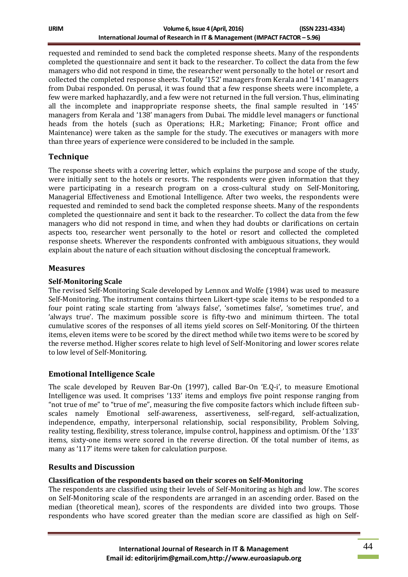| IJRIM | Volume 6, Issue 4 (April, 2016)                                             | (ISSN 2231-4334) |
|-------|-----------------------------------------------------------------------------|------------------|
|       | International Journal of Research in IT & Management (IMPACT FACTOR – 5.96) |                  |

requested and reminded to send back the completed response sheets. Many of the respondents completed the questionnaire and sent it back to the researcher. To collect the data from the few managers who did not respond in time, the researcher went personally to the hotel or resort and collected the completed response sheets. Totally '152' managers from Kerala and '141' managers from Dubai responded. On perusal, it was found that a few response sheets were incomplete, a few were marked haphazardly, and a few were not returned in the full version. Thus, eliminating all the incomplete and inappropriate response sheets, the final sample resulted in '145' managers from Kerala and '138' managers from Dubai. The middle level managers or functional heads from the hotels (such as Operations; H.R.; Marketing; Finance; Front office and Maintenance) were taken as the sample for the study. The executives or managers with more than three years of experience were considered to be included in the sample.

### **Technique**

The response sheets with a covering letter, which explains the purpose and scope of the study, were initially sent to the hotels or resorts. The respondents were given information that they were participating in a research program on a cross-cultural study on Self-Monitoring, Managerial Effectiveness and Emotional Intelligence. After two weeks, the respondents were requested and reminded to send back the completed response sheets. Many of the respondents completed the questionnaire and sent it back to the researcher. To collect the data from the few managers who did not respond in time, and when they had doubts or clarifications on certain aspects too, researcher went personally to the hotel or resort and collected the completed response sheets. Wherever the respondents confronted with ambiguous situations, they would explain about the nature of each situation without disclosing the conceptual framework.

#### **Measures**

#### **Self-Monitoring Scale**

The revised Self-Monitoring Scale developed by Lennox and Wolfe (1984) was used to measure Self-Monitoring. The instrument contains thirteen Likert-type scale items to be responded to a four point rating scale starting from 'always false', 'sometimes false', 'sometimes true', and 'always true'. The maximum possible score is fifty-two and minimum thirteen. The total cumulative scores of the responses of all items yield scores on Self-Monitoring. Of the thirteen items, eleven items were to be scored by the direct method while two items were to be scored by the reverse method. Higher scores relate to high level of Self-Monitoring and lower scores relate to low level of Self-Monitoring.

## **Emotional Intelligence Scale**

The scale developed by Reuven Bar-On (1997), called Bar-On 'E.Q-i', to measure Emotional Intelligence was used. It comprises '133' items and employs five point response ranging from "not true of me" to "true of me", measuring the five composite factors which include fifteen subscales namely Emotional self-awareness, assertiveness, self-regard, self-actualization, independence, empathy, interpersonal relationship, social responsibility, Problem Solving, reality testing, flexibility, stress tolerance, impulse control, happiness and optimism. Of the '133' items, sixty-one items were scored in the reverse direction. Of the total number of items, as many as '117' items were taken for calculation purpose.

#### **Results and Discussion**

#### **Classification of the respondents based on their scores on Self-Monitoring**

The respondents are classified using their levels of Self-Monitoring as high and low. The scores on Self-Monitoring scale of the respondents are arranged in an ascending order. Based on the median (theoretical mean), scores of the respondents are divided into two groups. Those respondents who have scored greater than the median score are classified as high on Self-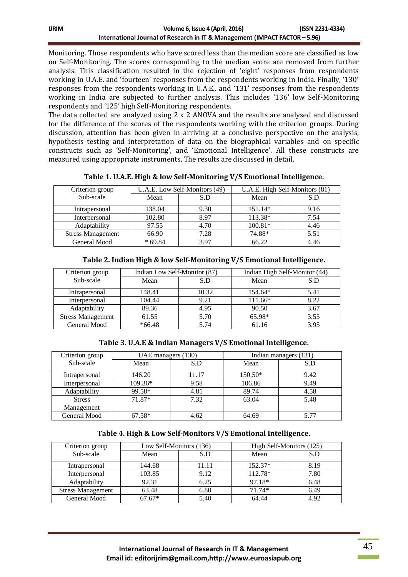| ijrim | Volume 6, Issue 4 (April, 2016)                                             | (ISSN 2231-4334) |
|-------|-----------------------------------------------------------------------------|------------------|
|       | International Journal of Research in IT & Management (IMPACT FACTOR – 5.96) |                  |

Monitoring. Those respondents who have scored less than the median score are classified as low on Self-Monitoring. The scores corresponding to the median score are removed from further analysis. This classification resulted in the rejection of 'eight' responses from respondents working in U.A.E. and 'fourteen' responses from the respondents working in India. Finally, '130' responses from the respondents working in U.A.E., and '131' responses from the respondents working in India are subjected to further analysis. This includes '136' low Self-Monitoring respondents and '125' high Self-Monitoring respondents.

The data collected are analyzed using 2 x 2 ANOVA and the results are analysed and discussed for the difference of the scores of the respondents working with the criterion groups. During discussion, attention has been given in arriving at a conclusive perspective on the analysis, hypothesis testing and interpretation of data on the biographical variables and on specific constructs such as 'Self-Monitoring', and 'Emotional Intelligence'. All these constructs are measured using appropriate instruments. The results are discussed in detail.

| Criterion group          | U.A.E. Low Self-Monitors (49) |      | U.A.E. High Self-Monitors (81) |      |
|--------------------------|-------------------------------|------|--------------------------------|------|
| Sub-scale                | Mean                          | S.D  | Mean                           | S.D  |
| Intrapersonal            | 138.04                        | 9.30 | $151.14*$                      | 9.16 |
| Interpersonal            | 102.80                        | 8.97 | 113.38*                        | 7.54 |
| Adaptability             | 97.55                         | 4.70 | $100.81*$                      | 4.46 |
| <b>Stress Management</b> | 66.90                         | 7.28 | 74.88*                         | 5.51 |
| General Mood             | $*69.84$                      | 397  | 66.22                          | 4.46 |

**Table 1. U.A.E. High & low Self-Monitoring V/S Emotional Intelligence.**

| Criterion group          | Indian Low Self-Monitor (87) |       | Indian High Self-Monitor (44) |      |
|--------------------------|------------------------------|-------|-------------------------------|------|
| Sub-scale                | Mean                         | S.D   | Mean                          | S.D  |
| Intrapersonal            | 148.41                       | 10.32 | 154.64*                       | 5.41 |
| Interpersonal            | 104.44                       | 9.21  | $111.66*$                     | 8.22 |
| Adaptability             | 89.36                        | 4.95  | 90.50                         | 3.67 |
| <b>Stress Management</b> | 61.55                        | 5.70  | 65.98*                        | 3.55 |
| General Mood             | $*66.48$                     | 5.74  | 61.16                         | 3.95 |

### **Table 2. Indian High & low Self-Monitoring V/S Emotional Intelligence.**

#### **Table 3. U.A.E & Indian Managers V/S Emotional Intelligence.**

| Criterion group | UAE managers (130) |       |           | Indian managers (131) |
|-----------------|--------------------|-------|-----------|-----------------------|
| Sub-scale       | Mean               | S.D   | Mean      | S.D                   |
| Intrapersonal   | 146.20             | 11.17 | $150.50*$ | 9.42                  |
| Interpersonal   | 109.36*            | 9.58  | 106.86    | 9.49                  |
| Adaptability    | 99.58*             | 4.81  | 89.74     | 4.58                  |
| <b>Stress</b>   | 71.87*             | 7.32  | 63.04     | 5.48                  |
| Management      |                    |       |           |                       |
| General Mood    | $67.58*$           | 4.62  | 64.69     | 5.77                  |

#### **Table 4. High & Low Self-Monitors V/S Emotional Intelligence.**

| Criterion group          | Low Self-Monitors (136) |       | High Self-Monitors (125) |      |
|--------------------------|-------------------------|-------|--------------------------|------|
| Sub-scale                | Mean                    | S.D   | Mean                     | S.D  |
| Intrapersonal            | 144.68                  | 11.11 | $152.37*$                | 8.19 |
| Interpersonal            | 103.85                  | 9.12  | 112.78*                  | 7.80 |
| Adaptability             | 92.31                   | 6.25  | 97.18*                   | 6.48 |
| <b>Stress Management</b> | 63.48                   | 6.80  | $71.74*$                 | 6.49 |
| General Mood             | $67.67*$                | 5.40  | 64.44                    | 4.92 |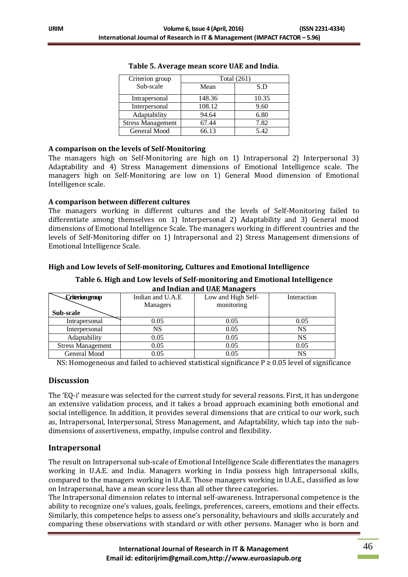| Criterion group          | <b>Total</b> (261) |       |  |
|--------------------------|--------------------|-------|--|
| Sub-scale                | Mean               | S.D   |  |
| Intrapersonal            | 148.36             | 10.35 |  |
| Interpersonal            | 108.12             | 9.60  |  |
| Adaptability             | 94.64              | 6.80  |  |
| <b>Stress Management</b> | 67.44              | 7.82  |  |
| General Mood             | 66.13              | 5.42  |  |

| Table 5. Average mean score UAE and India. |  |
|--------------------------------------------|--|
|--------------------------------------------|--|

#### **A comparison on the levels of Self-Monitoring**

The managers high on Self-Monitoring are high on 1) Intrapersonal 2) Interpersonal 3) Adaptability and 4) Stress Management dimensions of Emotional Intelligence scale. The managers high on Self-Monitoring are low on 1) General Mood dimension of Emotional Intelligence scale.

#### **A comparison between different cultures**

The managers working in different cultures and the levels of Self-Monitoring failed to differentiate among themselves on 1) Interpersonal 2) Adaptability and 3) General mood dimensions of Emotional Intelligence Scale. The managers working in different countries and the levels of Self-Monitoring differ on 1) Intrapersonal and 2) Stress Management dimensions of Emotional Intelligence Scale.

### **High and Low levels of Self-monitoring, Cultures and Emotional Intelligence**

**Table 6. High and Low levels of Self-monitoring and Emotional Intelligence and Indian and UAE Managers**

| Criterion group          | Indian and U.A.E. | Low and High Self- | Interaction |
|--------------------------|-------------------|--------------------|-------------|
|                          | Managers          | monitoring         |             |
| Sub-scale                |                   |                    |             |
| Intrapersonal            | 0.05              | 0.05               | 0.05        |
| Interpersonal            | <b>NS</b>         | 0.05               | <b>NS</b>   |
| Adaptability             | 0.05              | 0.05               | NS          |
| <b>Stress Management</b> | 0.05              | 0.05               | 0.05        |
| General Mood             | 0.05              | 0.05               | NS          |

NS: Homogeneous and failed to achieved statistical significance  $P \ge 0.05$  level of significance

#### **Discussion**

The 'EQ-i' measure was selected for the current study for several reasons. First, it has undergone an extensive validation process, and it takes a broad approach examining both emotional and social intelligence. In addition, it provides several dimensions that are critical to our work, such as, Intrapersonal, Interpersonal, Stress Management, and Adaptability, which tap into the subdimensions of assertiveness, empathy, impulse control and flexibility.

## **Intrapersonal**

The result on Intrapersonal sub-scale of Emotional Intelligence Scale differentiates the managers working in U.A.E. and India. Managers working in India possess high Intrapersonal skills, compared to the managers working in U.A.E. Those managers working in U.A.E., classified as low on Intrapersonal, have a mean score less than all other three categories.

The Intrapersonal dimension relates to internal self-awareness. Intrapersonal competence is the ability to recognize one's values, goals, feelings, preferences, careers, emotions and their effects. Similarly, this competence helps to assess one's personality, behaviours and skills accurately and comparing these observations with standard or with other persons. Manager who is born and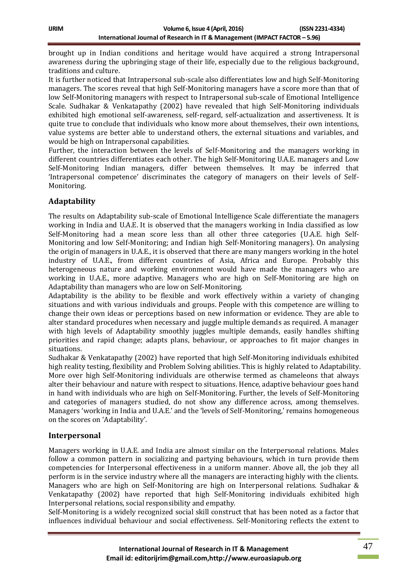brought up in Indian conditions and heritage would have acquired a strong Intrapersonal awareness during the upbringing stage of their life, especially due to the religious background, traditions and culture.

It is further noticed that Intrapersonal sub-scale also differentiates low and high Self-Monitoring managers. The scores reveal that high Self-Monitoring managers have a score more than that of low Self-Monitoring managers with respect to Intrapersonal sub-scale of Emotional Intelligence Scale. Sudhakar & Venkatapathy (2002) have revealed that high Self-Monitoring individuals exhibited high emotional self-awareness, self-regard, self-actualization and assertiveness. It is quite true to conclude that individuals who know more about themselves, their own intentions, value systems are better able to understand others, the external situations and variables, and would be high on Intrapersonal capabilities.

Further, the interaction between the levels of Self-Monitoring and the managers working in different countries differentiates each other. The high Self-Monitoring U.A.E. managers and Low Self-Monitoring Indian managers, differ between themselves. It may be inferred that 'Intrapersonal competence' discriminates the category of managers on their levels of Self-Monitoring.

# **Adaptability**

The results on Adaptability sub-scale of Emotional Intelligence Scale differentiate the managers working in India and U.A.E. It is observed that the managers working in India classified as low Self-Monitoring had a mean score less than all other three categories (U.A.E. high Self-Monitoring and low Self-Monitoring; and Indian high Self-Monitoring managers). On analysing the origin of managers in U.A.E., it is observed that there are many mangers working in the hotel industry of U.A.E., from different countries of Asia, Africa and Europe. Probably this heterogeneous nature and working environment would have made the managers who are working in U.A.E., more adaptive. Managers who are high on Self-Monitoring are high on Adaptability than managers who are low on Self-Monitoring.

Adaptability is the ability to be flexible and work effectively within a variety of changing situations and with various individuals and groups. People with this competence are willing to change their own ideas or perceptions based on new information or evidence. They are able to alter standard procedures when necessary and juggle multiple demands as required. A manager with high levels of Adaptability smoothly juggles multiple demands, easily handles shifting priorities and rapid change; adapts plans, behaviour, or approaches to fit major changes in situations.

Sudhakar & Venkatapathy (2002) have reported that high Self-Monitoring individuals exhibited high reality testing, flexibility and Problem Solving abilities. This is highly related to Adaptability. More over high Self-Monitoring individuals are otherwise termed as chameleons that always alter their behaviour and nature with respect to situations. Hence, adaptive behaviour goes hand in hand with individuals who are high on Self-Monitoring. Further, the levels of Self-Monitoring and categories of managers studied, do not show any difference across, among themselves. Managers 'working in India and U.A.E.' and the 'levels of Self-Monitoring,' remains homogeneous on the scores on 'Adaptability'.

## **Interpersonal**

Managers working in U.A.E. and India are almost similar on the Interpersonal relations. Males follow a common pattern in socializing and partying behaviours, which in turn provide them competencies for Interpersonal effectiveness in a uniform manner. Above all, the job they all perform is in the service industry where all the managers are interacting highly with the clients. Managers who are high on Self-Monitoring are high on Interpersonal relations. Sudhakar & Venkatapathy (2002) have reported that high Self-Monitoring individuals exhibited high Interpersonal relations, social responsibility and empathy.

Self-Monitoring is a widely recognized social skill construct that has been noted as a factor that influences individual behaviour and social effectiveness. Self-Monitoring reflects the extent to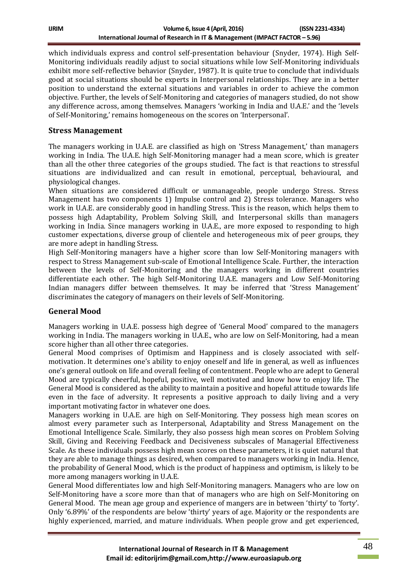| ijrim | Volume 6, Issue 4 (April, 2016)                                             | (ISSN 2231-4334) |
|-------|-----------------------------------------------------------------------------|------------------|
|       | International Journal of Research in IT & Management (IMPACT FACTOR – 5.96) |                  |

which individuals express and control self-presentation behaviour (Snyder, 1974). High Self-Monitoring individuals readily adjust to social situations while low Self-Monitoring individuals exhibit more self-reflective behavior (Snyder, 1987). It is quite true to conclude that individuals good at social situations should be experts in Interpersonal relationships. They are in a better position to understand the external situations and variables in order to achieve the common objective. Further, the levels of Self-Monitoring and categories of managers studied, do not show any difference across, among themselves. Managers 'working in India and U.A.E.' and the 'levels of Self-Monitoring,' remains homogeneous on the scores on 'Interpersonal'.

## **Stress Management**

The managers working in U.A.E. are classified as high on 'Stress Management,' than managers working in India. The U.A.E. high Self-Monitoring manager had a mean score, which is greater than all the other three categories of the groups studied. The fact is that reactions to stressful situations are individualized and can result in emotional, perceptual, behavioural, and physiological changes.

When situations are considered difficult or unmanageable, people undergo Stress. Stress Management has two components 1) Impulse control and 2) Stress tolerance. Managers who work in U.A.E. are considerably good in handling Stress. This is the reason, which helps them to possess high Adaptability, Problem Solving Skill, and Interpersonal skills than managers working in India. Since managers working in U.A.E., are more exposed to responding to high customer expectations, diverse group of clientele and heterogeneous mix of peer groups, they are more adept in handling Stress.

High Self-Monitoring managers have a higher score than low Self-Monitoring managers with respect to Stress Management sub-scale of Emotional Intelligence Scale. Further, the interaction between the levels of Self-Monitoring and the managers working in different countries differentiate each other. The high Self-Monitoring U.A.E. managers and Low Self-Monitoring Indian managers differ between themselves. It may be inferred that 'Stress Management' discriminates the category of managers on their levels of Self-Monitoring.

## **General Mood**

Managers working in U.A.E. possess high degree of 'General Mood' compared to the managers working in India. The managers working in U.A.E., who are low on Self-Monitoring, had a mean score higher than all other three categories.

General Mood comprises of Optimism and Happiness and is closely associated with selfmotivation. It determines one's ability to enjoy oneself and life in general, as well as influences one's general outlook on life and overall feeling of contentment. People who are adept to General Mood are typically cheerful, hopeful, positive, well motivated and know how to enjoy life. The General Mood is considered as the ability to maintain a positive and hopeful attitude towards life even in the face of adversity*.* It represents a positive approach to daily living and a very important motivating factor in whatever one does.

Managers working in U.A.E. are high on Self-Monitoring. They possess high mean scores on almost every parameter such as Interpersonal, Adaptability and Stress Management on the Emotional Intelligence Scale. Similarly, they also possess high mean scores on Problem Solving Skill, Giving and Receiving Feedback and Decisiveness subscales of Managerial Effectiveness Scale. As these individuals possess high mean scores on these parameters, it is quiet natural that they are able to manage things as desired, when compared to managers working in India. Hence, the probability of General Mood, which is the product of happiness and optimism, is likely to be more among managers working in U.A.E.

General Mood differentiates low and high Self-Monitoring managers. Managers who are low on Self-Monitoring have a score more than that of managers who are high on Self-Monitoring on General Mood. The mean age group and experience of mangers are in between 'thirty' to 'forty'. Only '6.89%' of the respondents are below 'thirty' years of age. Majority or the respondents are highly experienced, married, and mature individuals. When people grow and get experienced,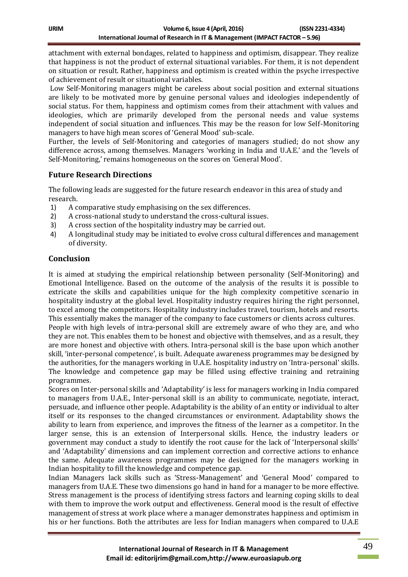attachment with external bondages, related to happiness and optimism, disappear. They realize that happiness is not the product of external situational variables. For them, it is not dependent on situation or result. Rather, happiness and optimism is created within the psyche irrespective of achievement of result or situational variables.

Low Self-Monitoring managers might be careless about social position and external situations are likely to be motivated more by genuine personal values and ideologies independently of social status. For them, happiness and optimism comes from their attachment with values and ideologies, which are primarily developed from the personal needs and value systems independent of social situation and influences. This may be the reason for low Self-Monitoring managers to have high mean scores of 'General Mood' sub-scale.

Further, the levels of Self-Monitoring and categories of managers studied; do not show any difference across, among themselves. Managers 'working in India and U.A.E.' and the 'levels of Self-Monitoring,' remains homogeneous on the scores on 'General Mood'.

## **Future Research Directions**

The following leads are suggested for the future research endeavor in this area of study and research.

- 1) A comparative study emphasising on the sex differences.
- 2) A cross-national study to understand the cross-cultural issues.
- 3) A cross section of the hospitality industry may be carried out.
- 4) A longitudinal study may be initiated to evolve cross cultural differences and management of diversity.

## **Conclusion**

It is aimed at studying the empirical relationship between personality (Self-Monitoring) and Emotional Intelligence. Based on the outcome of the analysis of the results it is possible to extricate the skills and capabilities unique for the high complexity competitive scenario in hospitality industry at the global level. Hospitality industry requires hiring the right personnel, to excel among the competitors. Hospitality industry includes travel, tourism, hotels and resorts. This essentially makes the manager of the company to face customers or clients across cultures.

People with high levels of intra-personal skill are extremely aware of who they are, and who they are not. This enables them to be honest and objective with themselves, and as a result, they are more honest and objective with others. Intra-personal skill is the base upon which another skill, 'inter-personal competence', is built. Adequate awareness programmes may be designed by the authorities, for the managers working in U.A.E. hospitality industry on 'Intra-personal' skills. The knowledge and competence gap may be filled using effective training and retraining programmes.

Scores on Inter-personal skills and 'Adaptability' is less for managers working in India compared to managers from U.A.E., Inter-personal skill is an ability to communicate, negotiate, interact, persuade, and influence other people. Adaptability is the ability of an [entity](http://www.businessdictionary.com/definition/entity.html) or individual to alter itself or its [responses](http://www.businessdictionary.com/definition/response.html) to the changed circumstances or [environment.](http://www.businessdictionary.com/definition/environment.html) Adaptability shows the ability to learn from [experience,](http://www.businessdictionary.com/definition/experience.html) and [improves](http://www.businessdictionary.com/definition/improve.html) the fitness of the learner as a [competitor.](http://www.businessdictionary.com/definition/competitor.html) In the larger sense, this is an extension of Interpersonal skills. Hence, the industry leaders or government may conduct a study to identify the root cause for the lack of 'Interpersonal skills' and 'Adaptability' dimensions and can implement correction and corrective actions to enhance the same. Adequate awareness programmes may be designed for the managers working in Indian hospitality to fill the knowledge and competence gap.

Indian Managers lack skills such as 'Stress-Management' and 'General Mood' compared to managers from U.A.E. These two dimensions go hand in hand for a manager to be more effective. Stress management is the process of identifying stress factors and learning coping skills to deal with them to improve the work output and effectiveness. General mood is the result of effective management of stress at work place where a manager demonstrates happiness and optimism in his or her functions. Both the attributes are less for Indian managers when compared to U.A.E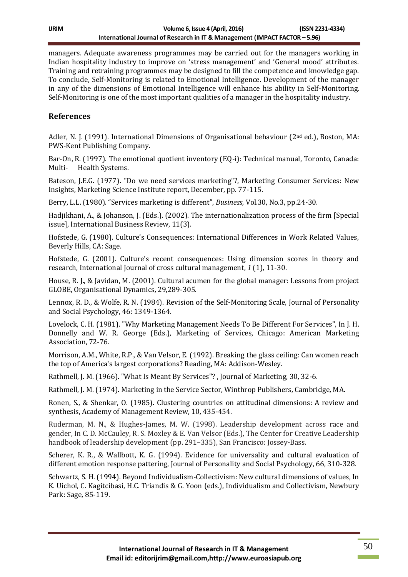managers. Adequate awareness programmes may be carried out for the managers working in Indian hospitality industry to improve on 'stress management' and 'General mood' attributes. Training and retraining programmes may be designed to fill the competence and knowledge gap. To conclude, Self-Monitoring is related to Emotional Intelligence. Development of the manager in any of the dimensions of Emotional Intelligence will enhance his ability in Self-Monitoring. Self-Monitoring is one of the most important qualities of a manager in the hospitality industry.

## **References**

Adler, N. J. (1991). International Dimensions of Organisational behaviour (2nd ed.), Boston, MA: PWS-Kent Publishing Company.

Bar-On, R. (1997). The emotional quotient inventory (EQ-i): Technical manual, Toronto, Canada: Multi- Health Systems.

Bateson, J.E.G. (1977). "Do we need services marketing"?, Marketing Consumer Services: New Insights, Marketing Science Institute report, December, pp. 77-115.

Berry, L.L. (1980). "Services marketing is different", *Business,* Vol.30, No.3, pp.24-30.

Hadjikhani, A., & Johanson, J. (Eds.). (2002). The internationalization process of the firm [Special issue], International Business Review, 11(3).

Hofstede, G. (1980). Culture's Consequences: International Differences in Work Related Values, Beverly Hills, CA: Sage.

Hofstede, G. (2001). Culture's recent consequences: Using dimension scores in theory and research, International Journal of cross cultural management, *1* (1), 11-30.

House, R. J., & Javidan, M. (2001). Cultural acumen for the global manager: Lessons from project GLOBE, Organisational Dynamics, 29,289-305.

Lennox, R. D., & Wolfe, R. N. (1984). Revision of the Self-Monitoring Scale, Journal of Personality and Social Psychology, 46: 1349-1364.

Lovelock, C. H. (1981). "Why Marketing Management Needs To Be Different For Services", In J. H. Donnelly and W. R. George (Eds.), Marketing of Services, Chicago: American Marketing Association, 72-76.

Morrison, A.M., White, R.P., & Van Velsor, E. (1992). Breaking the glass ceiling: Can women reach the top of America's largest corporations? Reading, MA: Addison-Wesley.

Rathmell, J. M. (1966). "What Is Meant By Services"? , Journal of Marketing, 30, 32-6.

Rathmell, J. M. (1974). Marketing in the Service Sector, Winthrop Publishers, Cambridge, MA.

Ronen, S., & Shenkar, O. (1985). Clustering countries on attitudinal dimensions: A review and synthesis, Academy of Management Review, 10, 435-454.

Ruderman, M. N., & Hughes-James, M. W. (1998). Leadership development across race and gender, In C. D. McCauley, R. S. Moxley & E. Van Velsor (Eds.), The Center for Creative Leadership handbook of leadership development (pp. 291–335), San Francisco: Jossey-Bass.

Scherer, K. R., & Wallbott, K. G. (1994). Evidence for universality and cultural evaluation of different emotion response pattering, Journal of Personality and Social Psychology, 66, 310-328.

Schwartz, S. H. (1994). Beyond Individualism-Collectivism: New cultural dimensions of values, In K. Uichol, C. Kagitcibasi, H.C. Triandis & G. Yoon (eds.), Individualism and Collectivism, Newbury Park: Sage, 85-119.